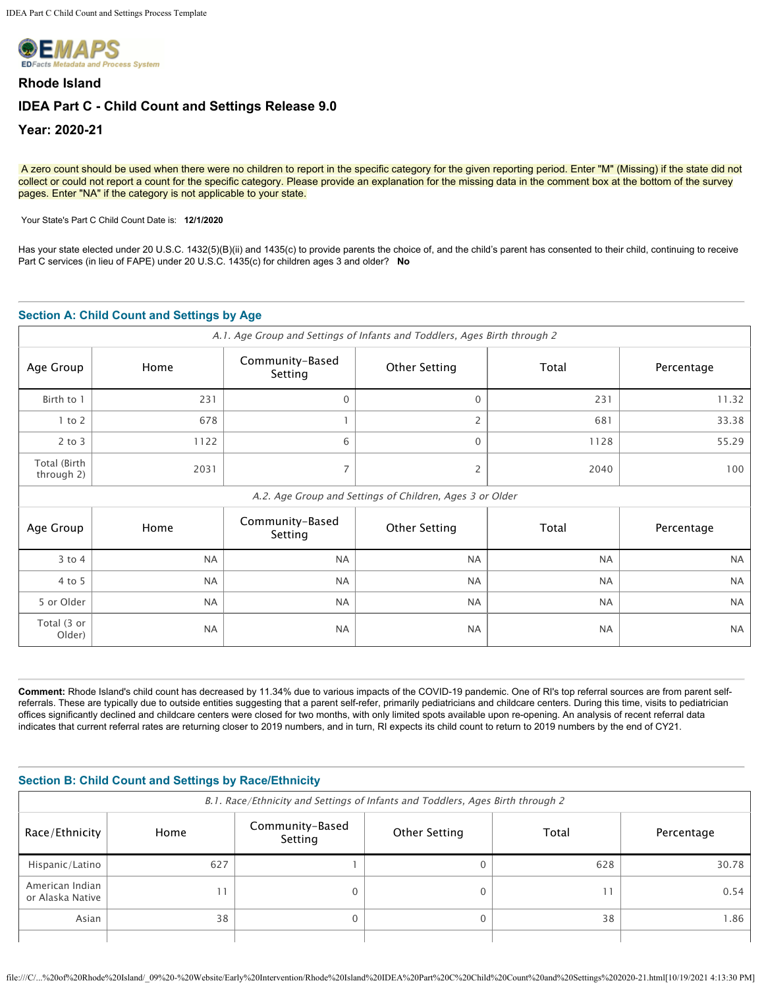

# **Rhode Island IDEA Part C - Child Count and Settings Release 9.0 Year: 2020-21**

A zero count should be used when there were no children to report in the specific category for the given reporting period. Enter "M" (Missing) if the state did not collect or could not report a count for the specific category. Please provide an explanation for the missing data in the comment box at the bottom of the survey pages. Enter "NA" if the category is not applicable to your state.

Your State's Part C Child Count Date is: **12/1/2020** 

Has your state elected under 20 U.S.C. 1432(5)(B)(ii) and 1435(c) to provide parents the choice of, and the child's parent has consented to their child, continuing to receive Part C services (in lieu of FAPE) under 20 U.S.C. 1435(c) for children ages 3 and older? **No**

## **Section A: Child Count and Settings by Age**

| A.1. Age Group and Settings of Infants and Toddlers, Ages Birth through 2 |           |                            |                                                          |           |            |
|---------------------------------------------------------------------------|-----------|----------------------------|----------------------------------------------------------|-----------|------------|
| Age Group                                                                 | Home      | Community-Based<br>Setting | <b>Other Setting</b>                                     | Total     | Percentage |
| Birth to 1                                                                | 231       | $\Omega$                   | $\Omega$                                                 | 231       | 11.32      |
| $1$ to $2$                                                                | 678       |                            | 2                                                        | 681       | 33.38      |
| $2$ to $3$                                                                | 1122      | 6                          | $\Omega$                                                 | 1128      | 55.29      |
| Total (Birth<br>through 2)                                                | 2031      | $\overline{7}$             | 2                                                        | 2040      | 100        |
|                                                                           |           |                            | A.2. Age Group and Settings of Children, Ages 3 or Older |           |            |
| Age Group                                                                 | Home      | Community-Based<br>Setting | <b>Other Setting</b>                                     | Total     | Percentage |
| $3$ to $4$                                                                | <b>NA</b> | <b>NA</b>                  | <b>NA</b>                                                | <b>NA</b> | <b>NA</b>  |
| 4 to 5                                                                    | <b>NA</b> | <b>NA</b>                  | <b>NA</b>                                                | <b>NA</b> | <b>NA</b>  |
| 5 or Older                                                                | <b>NA</b> | <b>NA</b>                  | <b>NA</b>                                                | <b>NA</b> | <b>NA</b>  |
| Total (3 or<br>Older)                                                     | <b>NA</b> | <b>NA</b>                  | <b>NA</b>                                                | <b>NA</b> | <b>NA</b>  |

**Comment:** Rhode Island's child count has decreased by 11.34% due to various impacts of the COVID-19 pandemic. One of RI's top referral sources are from parent selfreferrals. These are typically due to outside entities suggesting that a parent self-refer, primarily pediatricians and childcare centers. During this time, visits to pediatrician offices significantly declined and childcare centers were closed for two months, with only limited spots available upon re-opening. An analysis of recent referral data indicates that current referral rates are returning closer to 2019 numbers, and in turn, RI expects its child count to return to 2019 numbers by the end of CY21.

| Section B: Child Count and Settings by Race/Ethnicity<br>B.1. Race/Ethnicity and Settings of Infants and Toddlers, Ages Birth through 2 |     |          |  |            |       |
|-----------------------------------------------------------------------------------------------------------------------------------------|-----|----------|--|------------|-------|
| Community-Based<br>Total<br>Race/Ethnicity<br>Other Setting<br>Home<br>Setting                                                          |     |          |  | Percentage |       |
| Hispanic/Latino                                                                                                                         | 627 |          |  | 628        | 30.78 |
| American Indian<br>or Alaska Native                                                                                                     |     | 0        |  | 11         | 0.54  |
| Asian                                                                                                                                   | 38  | $\Omega$ |  | 38         | 1.86  |
|                                                                                                                                         |     |          |  |            |       |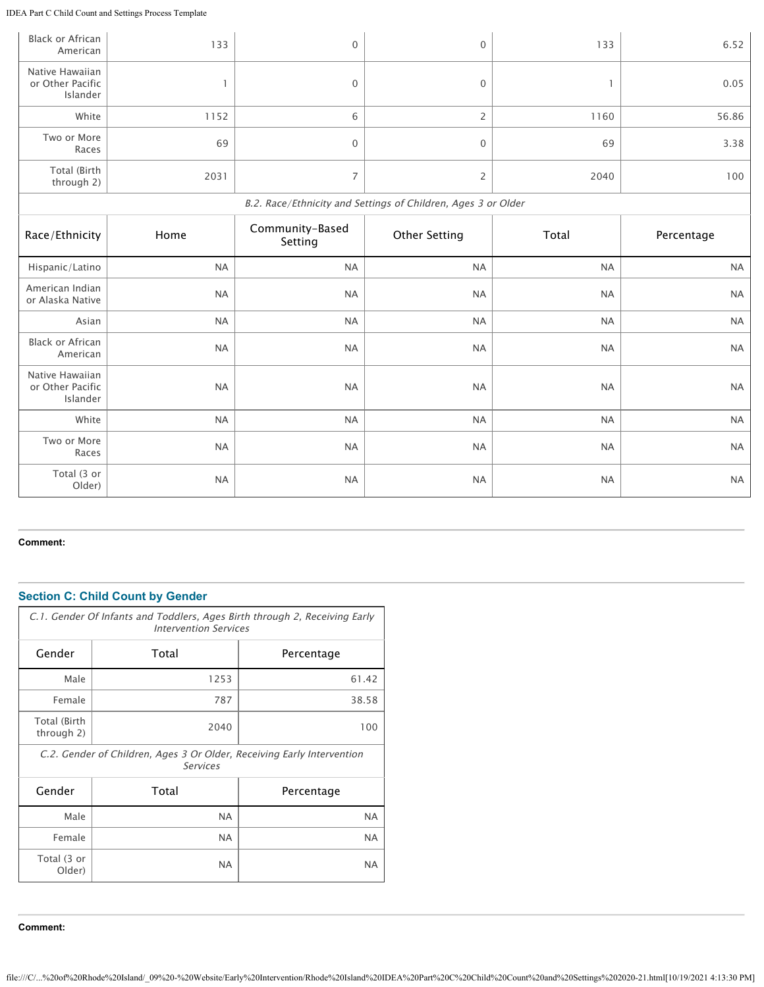IDEA Part C Child Count and Settings Process Template

| <b>Black or African</b><br>American             | 133          | 0                          | $\mathbf{0}$                                                  | 133          | 6.52       |
|-------------------------------------------------|--------------|----------------------------|---------------------------------------------------------------|--------------|------------|
| Native Hawaiian<br>or Other Pacific<br>Islander | $\mathbf{1}$ | 0                          | 0                                                             | $\mathbf{1}$ | 0.05       |
| White                                           | 1152         | 6                          | $\overline{2}$                                                | 1160         | 56.86      |
| Two or More<br>Races                            | 69           | $\mathbf 0$                | $\mathbf{0}$                                                  | 69           | 3.38       |
| Total (Birth<br>through 2)                      | 2031         | $\overline{\phantom{a}}$   | $\overline{2}$                                                | 2040         | 100        |
|                                                 |              |                            | B.2. Race/Ethnicity and Settings of Children, Ages 3 or Older |              |            |
| Race/Ethnicity                                  | Home         | Community-Based<br>Setting | <b>Other Setting</b>                                          | Total        | Percentage |
|                                                 |              |                            |                                                               |              |            |
| Hispanic/Latino                                 | <b>NA</b>    | <b>NA</b>                  | <b>NA</b>                                                     | <b>NA</b>    | <b>NA</b>  |
| American Indian<br>or Alaska Native             | <b>NA</b>    | <b>NA</b>                  | <b>NA</b>                                                     | <b>NA</b>    | <b>NA</b>  |
| Asian                                           | NA           | $\sf NA$                   | <b>NA</b>                                                     | <b>NA</b>    | <b>NA</b>  |
| <b>Black or African</b><br>American             | <b>NA</b>    | <b>NA</b>                  | <b>NA</b>                                                     | <b>NA</b>    | <b>NA</b>  |
| Native Hawaiian<br>or Other Pacific<br>Islander | <b>NA</b>    | <b>NA</b>                  | <b>NA</b>                                                     | <b>NA</b>    | <b>NA</b>  |
| White                                           | <b>NA</b>    | <b>NA</b>                  | <b>NA</b>                                                     | <b>NA</b>    | <b>NA</b>  |
| Two or More<br>Races                            | <b>NA</b>    | <b>NA</b>                  | <b>NA</b>                                                     | <b>NA</b>    | <b>NA</b>  |

## **Comment:**

## **Section C: Child Count by Gender**

| C.1. Gender Of Infants and Toddlers, Ages Birth through 2, Receiving Early<br><b>Intervention Services</b> |                                                                                           |            |  |  |  |
|------------------------------------------------------------------------------------------------------------|-------------------------------------------------------------------------------------------|------------|--|--|--|
| Gender                                                                                                     | Total                                                                                     | Percentage |  |  |  |
| Male                                                                                                       | 1253                                                                                      | 61.42      |  |  |  |
| Female                                                                                                     | 787                                                                                       | 38.58      |  |  |  |
| Total (Birth<br>through 2)                                                                                 | 2040                                                                                      | 100        |  |  |  |
|                                                                                                            | C.2. Gender of Children, Ages 3 Or Older, Receiving Early Intervention<br><b>Services</b> |            |  |  |  |
| Gender                                                                                                     | Total                                                                                     | Percentage |  |  |  |
| Male                                                                                                       | <b>NA</b>                                                                                 | <b>NA</b>  |  |  |  |
| Female                                                                                                     | NA.                                                                                       | <b>NA</b>  |  |  |  |
| Total (3 or<br>Older)                                                                                      | <b>NA</b>                                                                                 | <b>NA</b>  |  |  |  |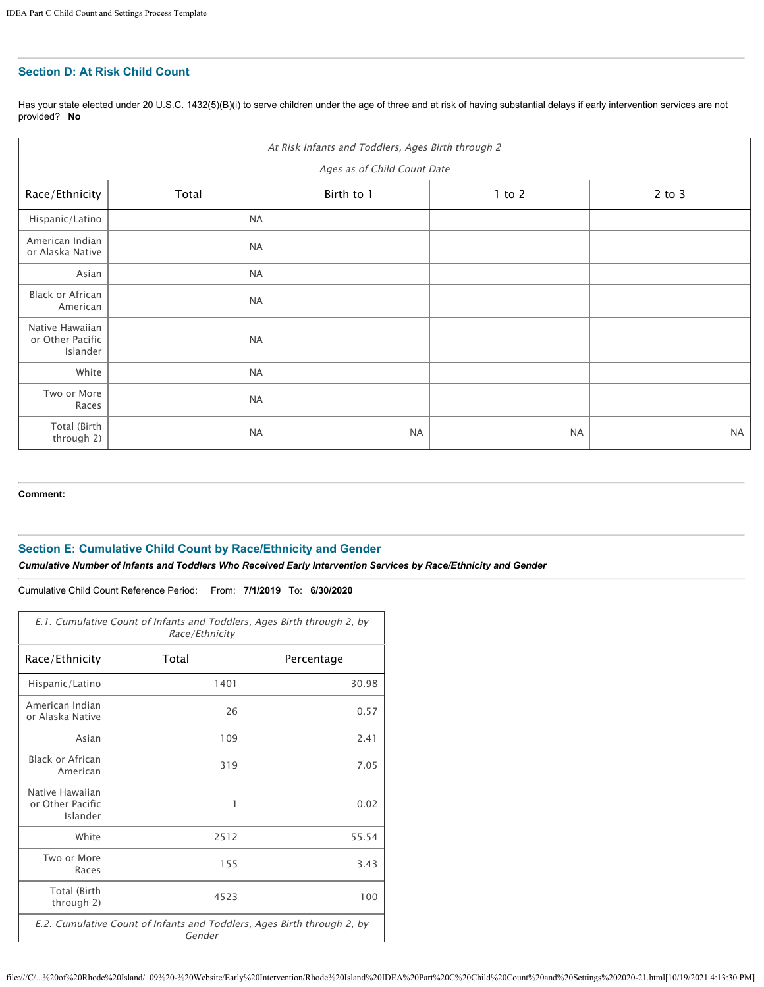## **Section D: At Risk Child Count**

Has your state elected under 20 U.S.C. 1432(5)(B)(i) to serve children under the age of three and at risk of having substantial delays if early intervention services are not provided? **No**

| At Risk Infants and Toddlers, Ages Birth through 2 |           |            |            |            |
|----------------------------------------------------|-----------|------------|------------|------------|
| Ages as of Child Count Date                        |           |            |            |            |
| Race/Ethnicity                                     | Total     | Birth to 1 | $1$ to $2$ | $2$ to $3$ |
| Hispanic/Latino                                    | <b>NA</b> |            |            |            |
| American Indian<br>or Alaska Native                | <b>NA</b> |            |            |            |
| Asian                                              | <b>NA</b> |            |            |            |
| Black or African<br>American                       | <b>NA</b> |            |            |            |
| Native Hawaiian<br>or Other Pacific<br>Islander    | <b>NA</b> |            |            |            |
| White                                              | <b>NA</b> |            |            |            |
| Two or More<br>Races                               | <b>NA</b> |            |            |            |
| Total (Birth<br>through 2)                         | <b>NA</b> | <b>NA</b>  | <b>NA</b>  | <b>NA</b>  |

**Comment:**

### **Section E: Cumulative Child Count by Race/Ethnicity and Gender**

*Cumulative Number of Infants and Toddlers Who Received Early Intervention Services by Race/Ethnicity and Gender*

Cumulative Child Count Reference Period: From: **7/1/2019** To: **6/30/2020**

| E.1. Cumulative Count of Infants and Toddlers, Ages Birth through 2, by<br>Race/Ethnicity |       |            |  |
|-------------------------------------------------------------------------------------------|-------|------------|--|
| Race/Ethnicity                                                                            | Total | Percentage |  |
| Hispanic/Latino                                                                           | 1401  | 30.98      |  |
| American Indian<br>or Alaska Native                                                       | 26    | 0.57       |  |
| Asian                                                                                     | 109   | 2.41       |  |
| <b>Black or African</b><br>American                                                       | 319   | 7.05       |  |
| Native Hawaiian<br>or Other Pacific<br>Islander                                           | 1     | 0.02       |  |
| White                                                                                     | 2512  | 55.54      |  |
| Two or More<br>Races                                                                      | 155   | 3.43       |  |
| Total (Birth<br>through 2)                                                                | 4523  | 100        |  |

E.2. Cumulative Count of Infants and Toddlers, Ages Birth through 2, by Gender